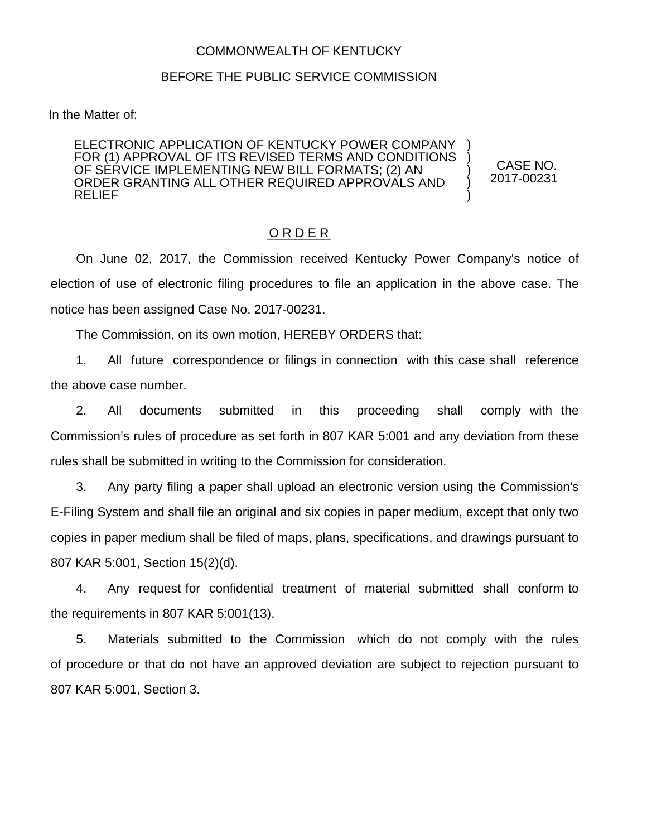## COMMONWEALTH OF KENTUCKY

## BEFORE THE PUBLIC SERVICE COMMISSION

In the Matter of:

ELECTRONIC APPLICATION OF KENTUCKY POWER COMPANY FOR (1) APPROVAL OF ITS REVISED TERMS AND CONDITIONS OF SERVICE IMPLEMENTING NEW BILL FORMATS; (2) AN ORDER GRANTING ALL OTHER REQUIRED APPROVALS AND RELIEF

CASE NO. 2017-00231

) ) ) ) )

## O R D E R

On June 02, 2017, the Commission received Kentucky Power Company's notice of election of use of electronic filing procedures to file an application in the above case. The notice has been assigned Case No. 2017-00231.

The Commission, on its own motion, HEREBY ORDERS that:

1. All future correspondence or filings in connection with this case shall reference the above case number.

2. All documents submitted in this proceeding shall comply with the Commission's rules of procedure as set forth in 807 KAR 5:001 and any deviation from these rules shall be submitted in writing to the Commission for consideration.

3. Any party filing a paper shall upload an electronic version using the Commission's E-Filing System and shall file an original and six copies in paper medium, except that only two copies in paper medium shall be filed of maps, plans, specifications, and drawings pursuant to 807 KAR 5:001, Section 15(2)(d).

4. Any request for confidential treatment of material submitted shall conform to the requirements in 807 KAR 5:001(13).

5. Materials submitted to the Commission which do not comply with the rules of procedure or that do not have an approved deviation are subject to rejection pursuant to 807 KAR 5:001, Section 3.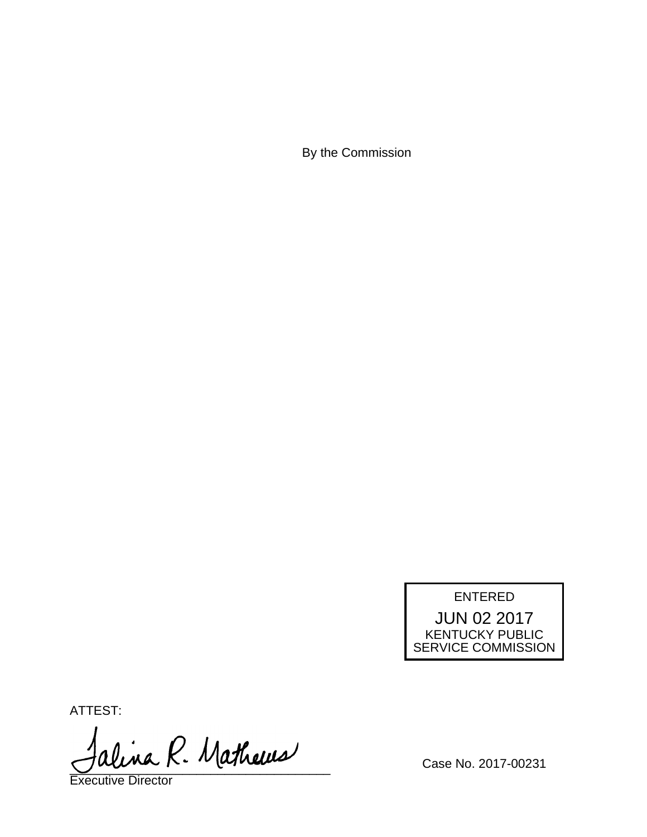By the Commission

ENTERED JUN 02 2017 KENTUCKY PUBLIC SERVICE COMMISSION

ATTEST:

alina R. Mathews

Executive Director

Case No. 2017-00231